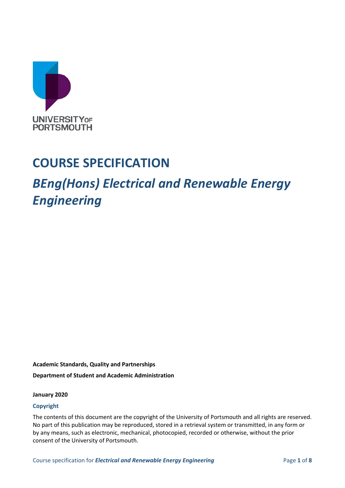

## **COURSE SPECIFICATION**

# *BEng(Hons) Electrical and Renewable Energy Engineering*

**Academic Standards, Quality and Partnerships Department of Student and Academic Administration**

#### **January 2020**

#### **Copyright**

The contents of this document are the copyright of the University of Portsmouth and all rights are reserved. No part of this publication may be reproduced, stored in a retrieval system or transmitted, in any form or by any means, such as electronic, mechanical, photocopied, recorded or otherwise, without the prior consent of the University of Portsmouth.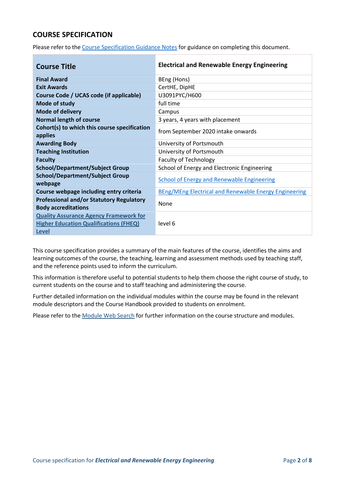## **COURSE SPECIFICATION**

Please refer to the [Course Specification Guidance Notes](http://www.port.ac.uk/departments/services/academicregistry/qmd/curriculum-framework-2019-20/filetodownload,201767,en.docx) for guidance on completing this document.

| <b>Course Title</b>                                                                            | <b>Electrical and Renewable Energy Engineering</b>           |
|------------------------------------------------------------------------------------------------|--------------------------------------------------------------|
| <b>Final Award</b>                                                                             | BEng (Hons)                                                  |
| <b>Exit Awards</b>                                                                             | CertHE, DipHE                                                |
| Course Code / UCAS code (if applicable)                                                        | U3091PYC/H600                                                |
| Mode of study                                                                                  | full time                                                    |
| <b>Mode of delivery</b>                                                                        | Campus                                                       |
| <b>Normal length of course</b>                                                                 | 3 years, 4 years with placement                              |
| Cohort(s) to which this course specification<br>applies                                        | from September 2020 intake onwards                           |
| <b>Awarding Body</b>                                                                           | University of Portsmouth                                     |
| <b>Teaching Institution</b>                                                                    | University of Portsmouth                                     |
| <b>Faculty</b>                                                                                 | <b>Faculty of Technology</b>                                 |
| <b>School/Department/Subject Group</b>                                                         | School of Energy and Electronic Engineering                  |
| <b>School/Department/Subject Group</b><br>webpage                                              | <b>School of Energy and Renewable Engineering</b>            |
| Course webpage including entry criteria                                                        | <b>BEng/MEng Electrical and Renewable Energy Engineering</b> |
| <b>Professional and/or Statutory Regulatory</b><br><b>Body accreditations</b>                  | <b>None</b>                                                  |
| <b>Quality Assurance Agency Framework for</b><br><b>Higher Education Qualifications (FHEQ)</b> | level 6                                                      |
| <b>Level</b>                                                                                   |                                                              |

This course specification provides a summary of the main features of the course, identifies the aims and learning outcomes of the course, the teaching, learning and assessment methods used by teaching staff, and the reference points used to inform the curriculum.

This information is therefore useful to potential students to help them choose the right course of study, to current students on the course and to staff teaching and administering the course.

Further detailed information on the individual modules within the course may be found in the relevant module descriptors and the Course Handbook provided to students on enrolment.

Please refer to the [Module Web Search](https://register.port.ac.uk/ords/f?p=111:1:0:::::) for further information on the course structure and modules.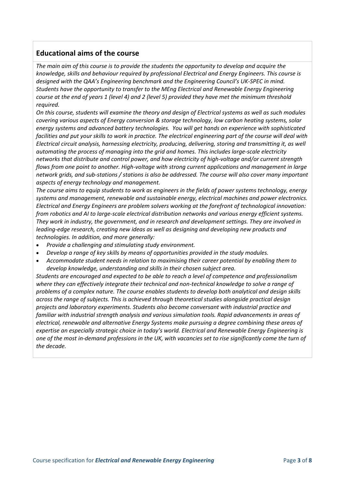## **Educational aims of the course**

*The main aim of this course is to provide the students the opportunity to develop and acquire the knowledge, skills and behaviour required by professional Electrical and Energy Engineers. This course is designed with the QAA's Engineering benchmark and the Engineering Council's UK-SPEC in mind. Students have the opportunity to transfer to the MEng Electrical and Renewable Energy Engineering course at the end of years 1 (level 4) and 2 (level 5) provided they have met the minimum threshold required.*

*On this course, students will examine the theory and design of Electrical systems as well as such modules covering various aspects of Energy conversion & storage technology, low carbon heating systems, solar energy systems and advanced battery technologies. You will get hands on experience with sophisticated facilities and put your skills to work in practice. The electrical engineering part of the course will deal with Electrical circuit analysis, harnessing electricity, producing, delivering, storing and transmitting it, as well automating the process of managing into the grid and homes. This includes large-scale electricity networks that distribute and control power, and how electricity of high-voltage and/or current strength flows from one point to another. High-voltage with strong current applications and management in large network grids, and sub-stations / stations is also be addressed. The course will also cover many important aspects of energy technology and management.*

*The course aims to equip students to work as engineers in the fields of power systems technology, energy systems and management, renewable and sustainable energy, electrical machines and power electronics. Electrical and Energy Engineers are problem solvers working at the forefront of technological innovation: from robotics and AI to large-scale electrical distribution networks and various energy efficient systems. They work in industry, the government, and in research and development settings. They are involved in leading-edge research, creating new ideas as well as designing and developing new products and technologies. In addition, and more generally:*

- *Provide a challenging and stimulating study environment.*
- *Develop a range of key skills by means of opportunities provided in the study modules.*
- *Accommodate student needs in relation to maximising their career potential by enabling them to develop knowledge, understanding and skills in their chosen subject area.*

*Students are encouraged and expected to be able to reach a level of competence and professionalism where they can effectively integrate their technical and non-technical knowledge to solve a range of problems of a complex nature. The course enables students to develop both analytical and design skills across the range of subjects. This is achieved through theoretical studies alongside practical design projects and laboratory experiments. Students also become conversant with industrial practice and familiar with industrial strength analysis and various simulation tools. Rapid advancements in areas of electrical, renewable and alternative Energy Systems make pursuing a degree combining these areas of expertise an especially strategic choice in today's world. Electrical and Renewable Energy Engineering is one of the most in-demand professions in the UK, with vacancies set to rise significantly come the turn of the decade.*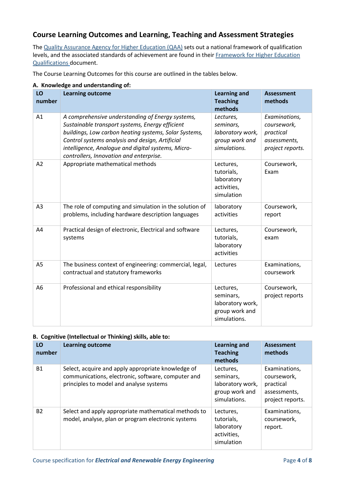## **Course Learning Outcomes and Learning, Teaching and Assessment Strategies**

The [Quality Assurance Agency for Higher Education \(QAA\)](http://www.qaa.ac.uk/en) sets out a national framework of qualification levels, and the associated standards of achievement are found in their [Framework for Higher Education](http://www.qaa.ac.uk/quality-code/the-existing-uk-quality-code/part-a-setting-and-maintaining-academic-standards)  [Qualifications](http://www.qaa.ac.uk/quality-code/the-existing-uk-quality-code/part-a-setting-and-maintaining-academic-standards) document.

The Course Learning Outcomes for this course are outlined in the tables below.

| LO<br>number   | <b>Learning outcome</b>                                                                                                                                                                                                                                                                                          | <b>Learning and</b><br><b>Teaching</b><br>methods                            | <b>Assessment</b><br>methods                                                  |
|----------------|------------------------------------------------------------------------------------------------------------------------------------------------------------------------------------------------------------------------------------------------------------------------------------------------------------------|------------------------------------------------------------------------------|-------------------------------------------------------------------------------|
| A1             | A comprehensive understanding of Energy systems,<br>Sustainable transport systems, Energy efficient<br>buildings, Low carbon heating systems, Solar Systems,<br>Control systems analysis and design, Artificial<br>intelligence, Analogue and digital systems, Micro-<br>controllers, Innovation and enterprise. | Lectures,<br>seminars,<br>laboratory work,<br>group work and<br>simulations. | Examinations,<br>coursework,<br>practical<br>assessments,<br>project reports. |
| A2             | Appropriate mathematical methods                                                                                                                                                                                                                                                                                 | Lectures,<br>tutorials,<br>laboratory<br>activities,<br>simulation           | Coursework,<br>Exam                                                           |
| A3             | The role of computing and simulation in the solution of<br>problems, including hardware description languages                                                                                                                                                                                                    | laboratory<br>activities                                                     | Coursework,<br>report                                                         |
| A4             | Practical design of electronic, Electrical and software<br>systems                                                                                                                                                                                                                                               | Lectures,<br>tutorials,<br>laboratory<br>activities                          | Coursework,<br>exam                                                           |
| A <sub>5</sub> | The business context of engineering: commercial, legal,<br>contractual and statutory frameworks                                                                                                                                                                                                                  | Lectures                                                                     | Examinations,<br>coursework                                                   |
| A6             | Professional and ethical responsibility                                                                                                                                                                                                                                                                          | Lectures,<br>seminars,<br>laboratory work,<br>group work and<br>simulations. | Coursework,<br>project reports                                                |

#### **A. Knowledge and understanding of:**

#### **B. Cognitive (Intellectual or Thinking) skills, able to:**

| LO<br>number | <b>Learning outcome</b>                                                                                                                             | <b>Learning and</b><br><b>Teaching</b><br>methods                            | <b>Assessment</b><br>methods                                                  |
|--------------|-----------------------------------------------------------------------------------------------------------------------------------------------------|------------------------------------------------------------------------------|-------------------------------------------------------------------------------|
| <b>B1</b>    | Select, acquire and apply appropriate knowledge of<br>communications, electronic, software, computer and<br>principles to model and analyse systems | Lectures,<br>seminars,<br>laboratory work,<br>group work and<br>simulations. | Examinations,<br>coursework,<br>practical<br>assessments,<br>project reports. |
| <b>B2</b>    | Select and apply appropriate mathematical methods to<br>model, analyse, plan or program electronic systems                                          | Lectures,<br>tutorials,<br>laboratory<br>activities,<br>simulation           | Examinations,<br>coursework,<br>report.                                       |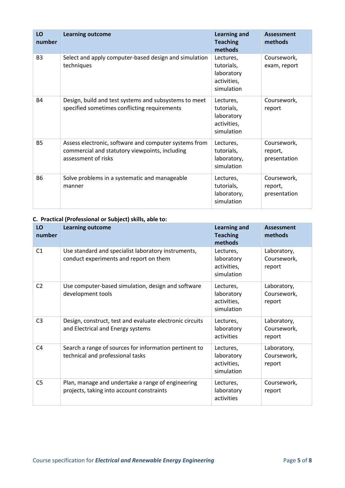| LO<br>number   | <b>Learning outcome</b>                                                                                                        | <b>Learning and</b><br><b>Teaching</b><br>methods                  | <b>Assessment</b><br>methods           |
|----------------|--------------------------------------------------------------------------------------------------------------------------------|--------------------------------------------------------------------|----------------------------------------|
| B <sub>3</sub> | Select and apply computer-based design and simulation<br>techniques                                                            | Lectures,<br>tutorials,<br>laboratory<br>activities,<br>simulation | Coursework,<br>exam, report            |
| <b>B4</b>      | Design, build and test systems and subsystems to meet<br>specified sometimes conflicting requirements                          | Lectures,<br>tutorials,<br>laboratory<br>activities,<br>simulation | Coursework,<br>report                  |
| <b>B5</b>      | Assess electronic, software and computer systems from<br>commercial and statutory viewpoints, including<br>assessment of risks | Lectures,<br>tutorials,<br>laboratory,<br>simulation               | Coursework,<br>report,<br>presentation |
| <b>B6</b>      | Solve problems in a systematic and manageable<br>manner                                                                        | Lectures,<br>tutorials,<br>laboratory,<br>simulation               | Coursework,<br>report,<br>presentation |

#### **C. Practical (Professional or Subject) skills, able to:**

| LO<br>number   | <b>Learning outcome</b>                                                                        | <b>Learning and</b><br><b>Teaching</b><br>methods    | <b>Assessment</b><br>methods         |
|----------------|------------------------------------------------------------------------------------------------|------------------------------------------------------|--------------------------------------|
| C1             | Use standard and specialist laboratory instruments,<br>conduct experiments and report on them  | Lectures,<br>laboratory<br>activities,<br>simulation | Laboratory,<br>Coursework,<br>report |
| C <sub>2</sub> | Use computer-based simulation, design and software<br>development tools                        | Lectures,<br>laboratory<br>activities,<br>simulation | Laboratory,<br>Coursework,<br>report |
| C <sub>3</sub> | Design, construct, test and evaluate electronic circuits<br>and Electrical and Energy systems  | Lectures,<br>laboratory<br>activities                | Laboratory,<br>Coursework,<br>report |
| C <sub>4</sub> | Search a range of sources for information pertinent to<br>technical and professional tasks     | Lectures,<br>laboratory<br>activities,<br>simulation | Laboratory,<br>Coursework,<br>report |
| C <sub>5</sub> | Plan, manage and undertake a range of engineering<br>projects, taking into account constraints | Lectures,<br>laboratory<br>activities                | Coursework,<br>report                |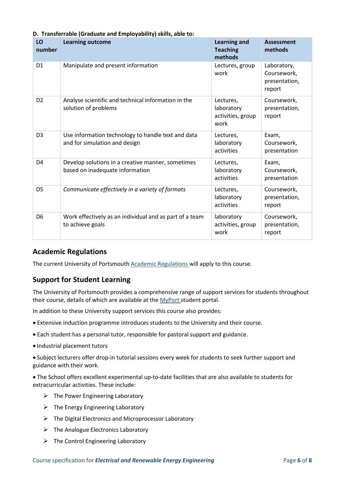| LO<br>number   | <b>Learning outcome</b>                                                              | <b>Learning and</b><br><b>Teaching</b><br>methods    | <b>Assessment</b><br>methods                          |
|----------------|--------------------------------------------------------------------------------------|------------------------------------------------------|-------------------------------------------------------|
| D <sub>1</sub> | Manipulate and present information                                                   | Lectures, group<br>work                              | Laboratory,<br>Coursework,<br>presentation,<br>report |
| D <sub>2</sub> | Analyse scientific and technical information in the<br>solution of problems          | Lectures,<br>laboratory<br>activities, group<br>work | Coursework,<br>presentation,<br>report                |
| D <sub>3</sub> | Use information technology to handle text and data<br>and for simulation and design  | Lectures,<br>laboratory<br>activities                | Exam,<br>Coursework,<br>presentation                  |
| D <sub>4</sub> | Develop solutions in a creative manner, sometimes<br>based on inadequate information | Lectures,<br>laboratory<br>activities                | Exam,<br>Coursework,<br>presentation                  |
| D <sub>5</sub> | Communicate effectively in a variety of formats                                      | Lectures,<br>laboratory<br>activities                | Coursework,<br>presentation,<br>report                |
| D <sub>6</sub> | Work effectively as an individual and as part of a team<br>to achieve goals          | laboratory<br>activities, group<br>work              | Coursework,<br>presentation,<br>report                |

## **D. Transferrable (Graduate and Employability) skills, able to:**

## **Academic Regulations**

The current University of Portsmouth [Academic Regulations](http://www.port.ac.uk/departments/services/academicregistry/qmd/assessmentandregulations/) will apply to this course.

## **Support for Student Learning**

The University of Portsmouth provides a comprehensive range of support services for students throughout their course, details of which are available at the [MyPort](http://myport.ac.uk/) student portal.

In addition to these University support services this course also provides:

- Extensive induction programme introduces students to the University and their course.
- Each student has a personal tutor, responsible for pastoral support and guidance.
- Industrial placement tutors

 Subject lecturers offer drop-in tutorial sessions every week for students to seek further support and guidance with their work.

 The School offers excellent experimental up-to-date facilities that are also available to students for extracurricular activities. These include:

- $\triangleright$  The Power Engineering Laboratory
- $\triangleright$  The Energy Engineering Laboratory
- $\triangleright$  The Digital Electronics and Microprocessor Laboratory
- $\triangleright$  The Analogue Electronics Laboratory
- $\triangleright$  The Control Engineering Laboratory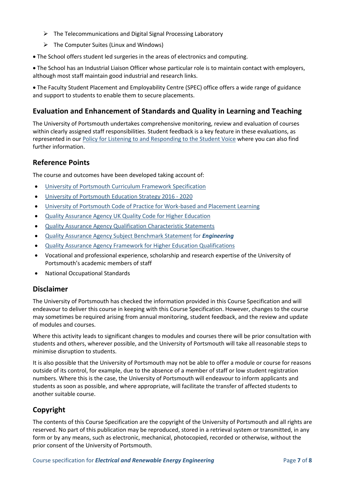- $\triangleright$  The Telecommunications and Digital Signal Processing Laboratory
- $\triangleright$  The Computer Suites (Linux and Windows)
- The School offers student led surgeries in the areas of electronics and computing.

 The School has an Industrial Liaison Officer whose particular role is to maintain contact with employers, although most staff maintain good industrial and research links.

 The Faculty Student Placement and Employability Centre (SPEC) office offers a wide range of guidance and support to students to enable them to secure placements.

## **Evaluation and Enhancement of Standards and Quality in Learning and Teaching**

The University of Portsmouth undertakes comprehensive monitoring, review and evaluation of courses within clearly assigned staff responsibilities. Student feedback is a key feature in these evaluations, as represented in our [Policy for Listening to and Responding to the Student Voice](http://policies.docstore.port.ac.uk/policy-069.pdf) where you can also find further information.

### **Reference Points**

The course and outcomes have been developed taking account of:

- [University of Portsmouth Curriculum Framework Specification](http://www.port.ac.uk/departments/services/academicregistry/qmd/curriculum-framework-2019-20/filetodownload,201776,en.pdf)
- [University of Portsmouth Education Strategy 2016 -](http://policies.docstore.port.ac.uk/policy-187.pdf) 2020
- [University of Portsmouth Code of Practice for Work-based and Placement Learning](http://policies.docstore.port.ac.uk/policy-151.pdf)
- [Quality Assurance Agency UK Quality Code for Higher Education](http://www.qaa.ac.uk/assuring-standards-and-quality/the-quality-code/)
- [Quality Assurance Agency Qualification Characteristic Statements](http://www.qaa.ac.uk/assuring-standards-and-quality/the-quality-code/characteristics-statements)
- [Quality Assurance Agency Subject Benchmark Statement](http://www.qaa.ac.uk/assuring-standards-and-quality/the-quality-code/subject-benchmark-statements) for *Engineering*
- [Quality Assurance Agency Framework for Higher Education Qualifications](http://www.qaa.ac.uk/quality-code/the-existing-uk-quality-code/part-a-setting-and-maintaining-academic-standards)
- Vocational and professional experience, scholarship and research expertise of the University of Portsmouth's academic members of staff
- National Occupational Standards

## **Disclaimer**

The University of Portsmouth has checked the information provided in this Course Specification and will endeavour to deliver this course in keeping with this Course Specification. However, changes to the course may sometimes be required arising from annual monitoring, student feedback, and the review and update of modules and courses.

Where this activity leads to significant changes to modules and courses there will be prior consultation with students and others, wherever possible, and the University of Portsmouth will take all reasonable steps to minimise disruption to students.

It is also possible that the University of Portsmouth may not be able to offer a module or course for reasons outside of its control, for example, due to the absence of a member of staff or low student registration numbers. Where this is the case, the University of Portsmouth will endeavour to inform applicants and students as soon as possible, and where appropriate, will facilitate the transfer of affected students to another suitable course.

## **Copyright**

The contents of this Course Specification are the copyright of the University of Portsmouth and all rights are reserved. No part of this publication may be reproduced, stored in a retrieval system or transmitted, in any form or by any means, such as electronic, mechanical, photocopied, recorded or otherwise, without the prior consent of the University of Portsmouth.